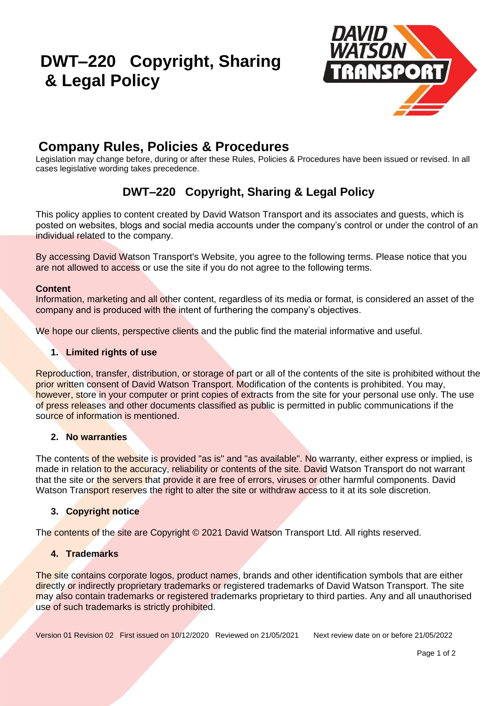# **DWT–220 Copyright, Sharing & Legal Policy**



# **Company Rules, Policies & Procedures**

Legislation may change before, during or after these Rules, Policies & Procedures have been issued or revised. In all cases legislative wording takes precedence.

# **DWT–220 Copyright, Sharing & Legal Policy**

This policy applies to content created by David Watson Transport and its associates and guests, which is posted on websites, blogs and social media accounts under the company's control or under the control of an individual related to the company.

By accessing David Watson Transport's Website, you agree to the following terms. Please notice that you are not allowed to access or use the site if you do not agree to the following terms.

#### **Content**

Information, marketing and all other content, regardless of its media or format, is considered an asset of the company and is produced with the intent of furthering the company's objectives.

We hope our clients, perspective clients and the public find the material informative and useful.

#### **1. Limited rights of use**

Reproduction, transfer, distribution, or storage of part or all of the contents of the site is prohibited without the prior written consent of David Watson Transport. Modification of the contents is prohibited. You may, however, store in your computer or print copies of extracts from the site for your personal use only. The use of press releases and other documents classified as public is permitted in public communications if the source of information is mentioned.

#### **2. No warranties**

The contents of the website is provided "as is" and "as available". No warranty, either express or implied, is made in relation to the accuracy, reliability or contents of the site. David Watson Transport do not warrant that the site or the servers that provide it are free of errors, viruses or other harmful components. David Watson Transport reserves the right to alter the site or withdraw access to it at its sole discretion.

### **3. Copyright notice**

The contents of the site are Copyright © 2021 David Watson Transport Ltd. All rights reserved.

#### **4. Trademarks**

The site contains corporate logos, product names, brands and other identification symbols that are either directly or indirectly proprietary trademarks or registered trademarks of David Watson Transport. The site may also contain trademarks or registered trademarks proprietary to third parties. Any and all unauthorised use of such trademarks is strictly prohibited.

Version 01 Revision 02 First issued on 10/12/2020 Reviewed on 21/05/2021 Next review date on or before 21/05/2022